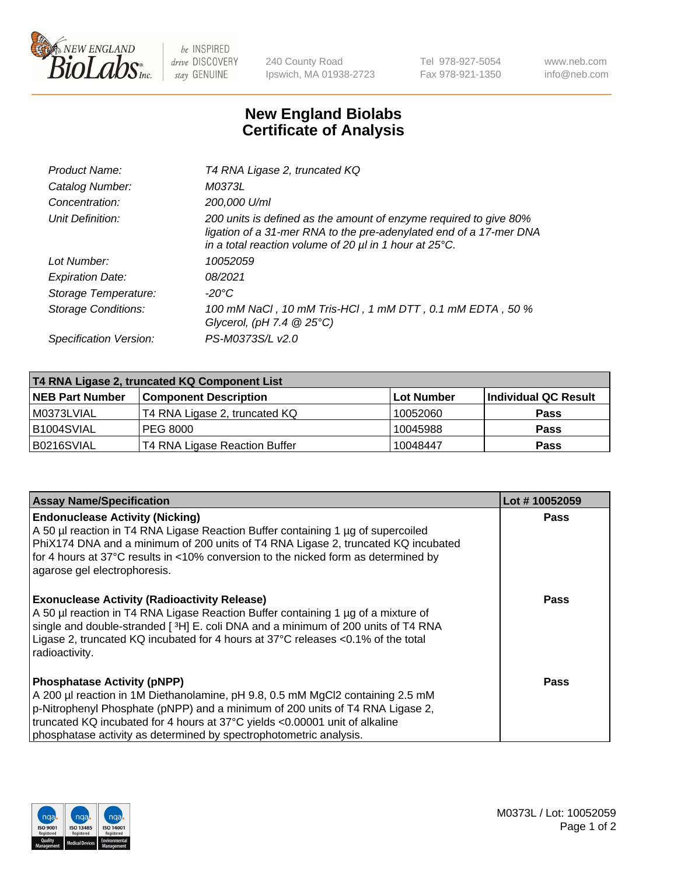

 $be$  INSPIRED drive DISCOVERY stay GENUINE

240 County Road Ipswich, MA 01938-2723 Tel 978-927-5054 Fax 978-921-1350 www.neb.com info@neb.com

## **New England Biolabs Certificate of Analysis**

| Product Name:              | T4 RNA Ligase 2, truncated KQ                                                                                                                                                                                    |
|----------------------------|------------------------------------------------------------------------------------------------------------------------------------------------------------------------------------------------------------------|
| Catalog Number:            | M0373L                                                                                                                                                                                                           |
| Concentration:             | 200,000 U/ml                                                                                                                                                                                                     |
| Unit Definition:           | 200 units is defined as the amount of enzyme required to give 80%<br>ligation of a 31-mer RNA to the pre-adenylated end of a 17-mer DNA<br>in a total reaction volume of 20 $\mu$ l in 1 hour at 25 $\degree$ C. |
| Lot Number:                | 10052059                                                                                                                                                                                                         |
| <b>Expiration Date:</b>    | 08/2021                                                                                                                                                                                                          |
| Storage Temperature:       | -20°C                                                                                                                                                                                                            |
| <b>Storage Conditions:</b> | 100 mM NaCl, 10 mM Tris-HCl, 1 mM DTT, 0.1 mM EDTA, 50 %<br>Glycerol, (pH 7.4 $@25°C$ )                                                                                                                          |
| Specification Version:     | PS-M0373S/L v2.0                                                                                                                                                                                                 |

| T4 RNA Ligase 2, truncated KQ Component List |                               |            |                      |  |
|----------------------------------------------|-------------------------------|------------|----------------------|--|
| <b>NEB Part Number</b>                       | <b>Component Description</b>  | Lot Number | Individual QC Result |  |
| l M0373LVIAL                                 | T4 RNA Ligase 2, truncated KQ | 10052060   | <b>Pass</b>          |  |
| B1004SVIAL                                   | PEG 8000                      | 10045988   | <b>Pass</b>          |  |
| B0216SVIAL                                   | T4 RNA Ligase Reaction Buffer | 10048447   | <b>Pass</b>          |  |

| <b>Assay Name/Specification</b>                                                                                                                                                                                                                                                                                                                            | Lot #10052059 |
|------------------------------------------------------------------------------------------------------------------------------------------------------------------------------------------------------------------------------------------------------------------------------------------------------------------------------------------------------------|---------------|
| <b>Endonuclease Activity (Nicking)</b><br>A 50 µl reaction in T4 RNA Ligase Reaction Buffer containing 1 µg of supercoiled<br>PhiX174 DNA and a minimum of 200 units of T4 RNA Ligase 2, truncated KQ incubated<br>for 4 hours at 37°C results in <10% conversion to the nicked form as determined by<br>agarose gel electrophoresis.                      | <b>Pass</b>   |
| <b>Exonuclease Activity (Radioactivity Release)</b><br>A 50 µl reaction in T4 RNA Ligase Reaction Buffer containing 1 µg of a mixture of<br>single and double-stranded [3H] E. coli DNA and a minimum of 200 units of T4 RNA<br>Ligase 2, truncated KQ incubated for 4 hours at 37°C releases <0.1% of the total<br>radioactivity.                         | Pass          |
| <b>Phosphatase Activity (pNPP)</b><br>A 200 µl reaction in 1M Diethanolamine, pH 9.8, 0.5 mM MgCl2 containing 2.5 mM<br>p-Nitrophenyl Phosphate (pNPP) and a minimum of 200 units of T4 RNA Ligase 2,<br>truncated KQ incubated for 4 hours at 37°C yields <0.00001 unit of alkaline<br>phosphatase activity as determined by spectrophotometric analysis. | Pass          |